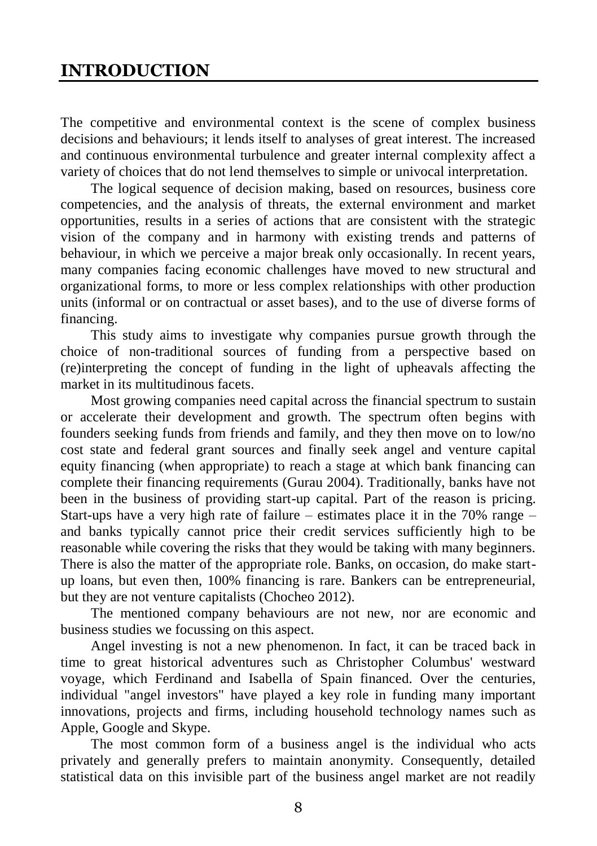## **INTRODUCTION**

The competitive and environmental context is the scene of complex business decisions and behaviours; it lends itself to analyses of great interest. The increased and continuous environmental turbulence and greater internal complexity affect a variety of choices that do not lend themselves to simple or univocal interpretation.

The logical sequence of decision making, based on resources, business core competencies, and the analysis of threats, the external environment and market opportunities, results in a series of actions that are consistent with the strategic vision of the company and in harmony with existing trends and patterns of behaviour, in which we perceive a major break only occasionally. In recent years, many companies facing economic challenges have moved to new structural and organizational forms, to more or less complex relationships with other production units (informal or on contractual or asset bases), and to the use of diverse forms of financing.

This study aims to investigate why companies pursue growth through the choice of non-traditional sources of funding from a perspective based on (re)interpreting the concept of funding in the light of upheavals affecting the market in its multitudinous facets.

Most growing companies need capital across the financial spectrum to sustain or accelerate their development and growth. The spectrum often begins with founders seeking funds from friends and family, and they then move on to low/no cost state and federal grant sources and finally seek angel and venture capital equity financing (when appropriate) to reach a stage at which bank financing can complete their financing requirements (Gurau 2004). Traditionally, banks have not been in the business of providing start-up capital. Part of the reason is pricing. Start-ups have a very high rate of failure – estimates place it in the  $70\%$  range – and banks typically cannot price their credit services sufficiently high to be reasonable while covering the risks that they would be taking with many beginners. There is also the matter of the appropriate role. Banks, on occasion, do make startup loans, but even then, 100% financing is rare. Bankers can be entrepreneurial, but they are not venture capitalists (Chocheo 2012).

The mentioned company behaviours are not new, nor are economic and business studies we focussing on this aspect.

Angel investing is not a new phenomenon. In fact, it can be traced back in time to great historical adventures such as Christopher Columbus' westward voyage, which Ferdinand and Isabella of Spain financed. Over the centuries, individual "angel investors" have played a key role in funding many important innovations, projects and firms, including household technology names such as Apple, Google and Skype.

The most common form of a business angel is the individual who acts privately and generally prefers to maintain anonymity. Consequently, detailed statistical data on this invisible part of the business angel market are not readily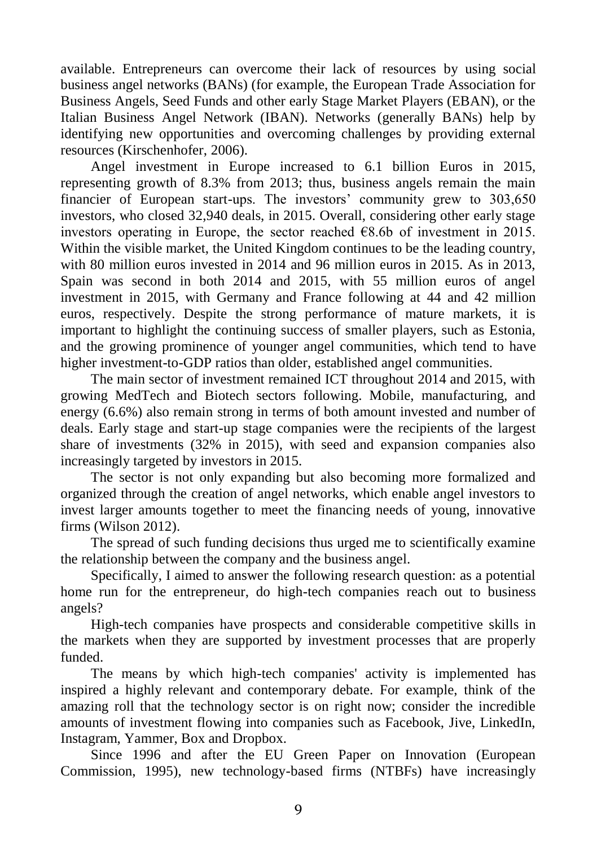available. Entrepreneurs can overcome their lack of resources by using social business angel networks (BANs) (for example, the European Trade Association for Business Angels, Seed Funds and other early Stage Market Players (EBAN), or the Italian Business Angel Network (IBAN). Networks (generally BANs) help by identifying new opportunities and overcoming challenges by providing external resources (Kirschenhofer, 2006).

Angel investment in Europe increased to 6.1 billion Euros in 2015, representing growth of 8.3% from 2013; thus, business angels remain the main financier of European start-ups. The investors' community grew to 303,650 investors, who closed 32,940 deals, in 2015. Overall, considering other early stage investors operating in Europe, the sector reached  $\epsilon$ 8.6b of investment in 2015. Within the visible market, the United Kingdom continues to be the leading country, with 80 million euros invested in 2014 and 96 million euros in 2015. As in 2013, Spain was second in both 2014 and 2015, with 55 million euros of angel investment in 2015, with Germany and France following at 44 and 42 million euros, respectively. Despite the strong performance of mature markets, it is important to highlight the continuing success of smaller players, such as Estonia, and the growing prominence of younger angel communities, which tend to have higher investment-to-GDP ratios than older, established angel communities.

The main sector of investment remained ICT throughout 2014 and 2015, with growing MedTech and Biotech sectors following. Mobile, manufacturing, and energy (6.6%) also remain strong in terms of both amount invested and number of deals. Early stage and start-up stage companies were the recipients of the largest share of investments (32% in 2015), with seed and expansion companies also increasingly targeted by investors in 2015.

The sector is not only expanding but also becoming more formalized and organized through the creation of angel networks, which enable angel investors to invest larger amounts together to meet the financing needs of young, innovative firms (Wilson 2012).

The spread of such funding decisions thus urged me to scientifically examine the relationship between the company and the business angel.

Specifically, I aimed to answer the following research question: as a potential home run for the entrepreneur, do high-tech companies reach out to business angels?

High-tech companies have prospects and considerable competitive skills in the markets when they are supported by investment processes that are properly funded.

The means by which high-tech companies' activity is implemented has inspired a highly relevant and contemporary debate. For example, think of the amazing roll that the technology sector is on right now; consider the incredible amounts of investment flowing into companies such as Facebook, Jive, LinkedIn, Instagram, Yammer, Box and Dropbox.

Since 1996 and after the EU Green Paper on Innovation (European Commission, 1995), new technology-based firms (NTBFs) have increasingly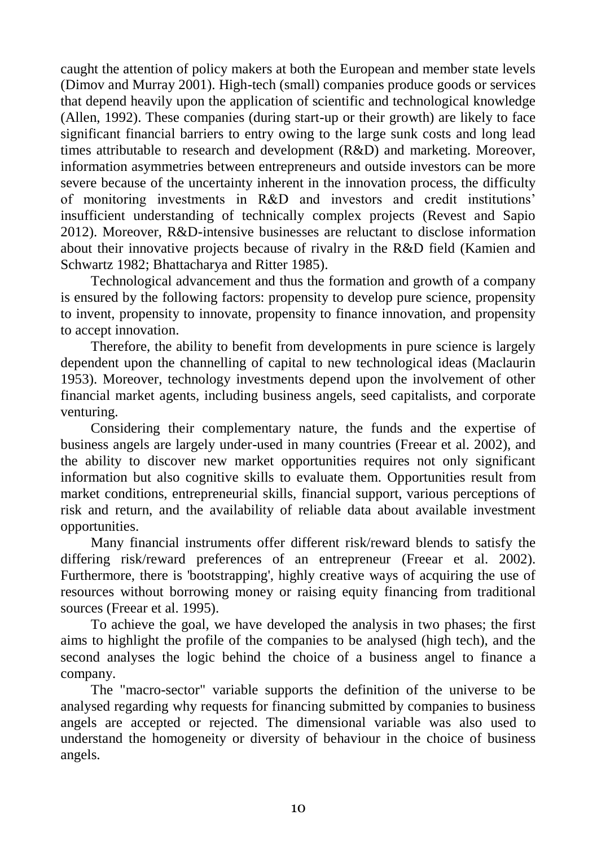caught the attention of policy makers at both the European and member state levels (Dimov and Murray 2001). High-tech (small) companies produce goods or services that depend heavily upon the application of scientific and technological knowledge (Allen, 1992). These companies (during start-up or their growth) are likely to face significant financial barriers to entry owing to the large sunk costs and long lead times attributable to research and development (R&D) and marketing. Moreover, information asymmetries between entrepreneurs and outside investors can be more severe because of the uncertainty inherent in the innovation process, the difficulty of monitoring investments in R&D and investors and credit institutions' insufficient understanding of technically complex projects (Revest and Sapio 2012). Moreover, R&D-intensive businesses are reluctant to disclose information about their innovative projects because of rivalry in the R&D field (Kamien and Schwartz 1982; Bhattacharya and Ritter 1985).

Technological advancement and thus the formation and growth of a company is ensured by the following factors: propensity to develop pure science, propensity to invent, propensity to innovate, propensity to finance innovation, and propensity to accept innovation.

Therefore, the ability to benefit from developments in pure science is largely dependent upon the channelling of capital to new technological ideas (Maclaurin 1953). Moreover, technology investments depend upon the involvement of other financial market agents, including business angels, seed capitalists, and corporate venturing.

Considering their complementary nature, the funds and the expertise of business angels are largely under-used in many countries (Freear et al. 2002), and the ability to discover new market opportunities requires not only significant information but also cognitive skills to evaluate them. Opportunities result from market conditions, entrepreneurial skills, financial support, various perceptions of risk and return, and the availability of reliable data about available investment opportunities.

Many financial instruments offer different risk/reward blends to satisfy the differing risk/reward preferences of an entrepreneur (Freear et al. 2002). Furthermore, there is 'bootstrapping', highly creative ways of acquiring the use of resources without borrowing money or raising equity financing from traditional sources (Freear et al. 1995).

To achieve the goal, we have developed the analysis in two phases; the first aims to highlight the profile of the companies to be analysed (high tech), and the second analyses the logic behind the choice of a business angel to finance a company.

The "macro-sector" variable supports the definition of the universe to be analysed regarding why requests for financing submitted by companies to business angels are accepted or rejected. The dimensional variable was also used to understand the homogeneity or diversity of behaviour in the choice of business angels.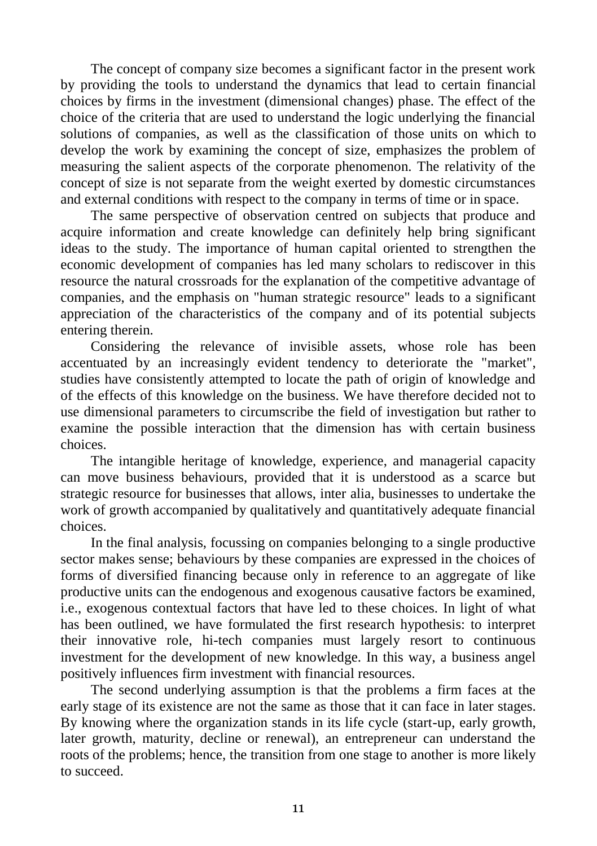The concept of company size becomes a significant factor in the present work by providing the tools to understand the dynamics that lead to certain financial choices by firms in the investment (dimensional changes) phase. The effect of the choice of the criteria that are used to understand the logic underlying the financial solutions of companies, as well as the classification of those units on which to develop the work by examining the concept of size, emphasizes the problem of measuring the salient aspects of the corporate phenomenon. The relativity of the concept of size is not separate from the weight exerted by domestic circumstances and external conditions with respect to the company in terms of time or in space.

The same perspective of observation centred on subjects that produce and acquire information and create knowledge can definitely help bring significant ideas to the study. The importance of human capital oriented to strengthen the economic development of companies has led many scholars to rediscover in this resource the natural crossroads for the explanation of the competitive advantage of companies, and the emphasis on "human strategic resource" leads to a significant appreciation of the characteristics of the company and of its potential subjects entering therein.

Considering the relevance of invisible assets, whose role has been accentuated by an increasingly evident tendency to deteriorate the "market", studies have consistently attempted to locate the path of origin of knowledge and of the effects of this knowledge on the business. We have therefore decided not to use dimensional parameters to circumscribe the field of investigation but rather to examine the possible interaction that the dimension has with certain business choices.

The intangible heritage of knowledge, experience, and managerial capacity can move business behaviours, provided that it is understood as a scarce but strategic resource for businesses that allows, inter alia, businesses to undertake the work of growth accompanied by qualitatively and quantitatively adequate financial choices.

In the final analysis, focussing on companies belonging to a single productive sector makes sense; behaviours by these companies are expressed in the choices of forms of diversified financing because only in reference to an aggregate of like productive units can the endogenous and exogenous causative factors be examined, i.e., exogenous contextual factors that have led to these choices. In light of what has been outlined, we have formulated the first research hypothesis: to interpret their innovative role, hi-tech companies must largely resort to continuous investment for the development of new knowledge. In this way, a business angel positively influences firm investment with financial resources.

The second underlying assumption is that the problems a firm faces at the early stage of its existence are not the same as those that it can face in later stages. By knowing where the organization stands in its life cycle (start-up, early growth, later growth, maturity, decline or renewal), an entrepreneur can understand the roots of the problems; hence, the transition from one stage to another is more likely to succeed.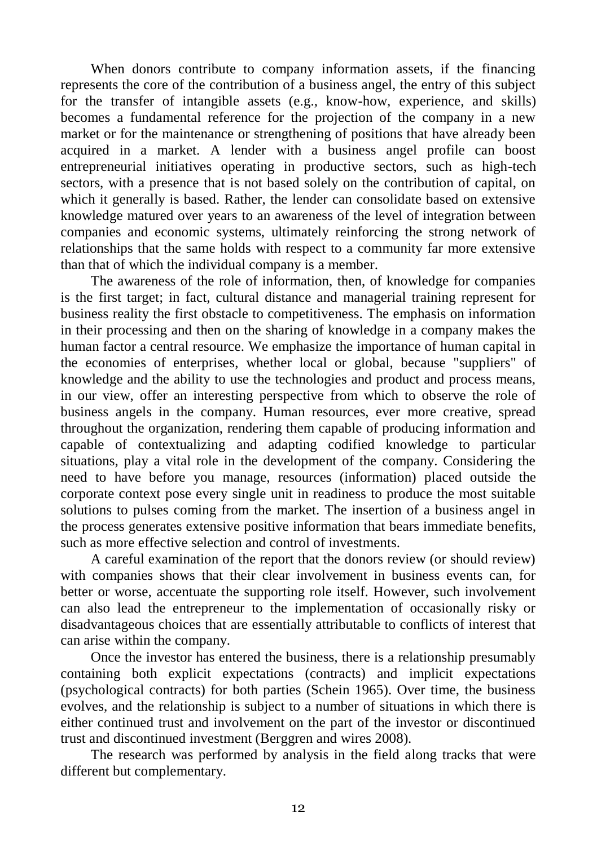When donors contribute to company information assets, if the financing represents the core of the contribution of a business angel, the entry of this subject for the transfer of intangible assets (e.g., know-how, experience, and skills) becomes a fundamental reference for the projection of the company in a new market or for the maintenance or strengthening of positions that have already been acquired in a market. A lender with a business angel profile can boost entrepreneurial initiatives operating in productive sectors, such as high-tech sectors, with a presence that is not based solely on the contribution of capital, on which it generally is based. Rather, the lender can consolidate based on extensive knowledge matured over years to an awareness of the level of integration between companies and economic systems, ultimately reinforcing the strong network of relationships that the same holds with respect to a community far more extensive than that of which the individual company is a member.

The awareness of the role of information, then, of knowledge for companies is the first target; in fact, cultural distance and managerial training represent for business reality the first obstacle to competitiveness. The emphasis on information in their processing and then on the sharing of knowledge in a company makes the human factor a central resource. We emphasize the importance of human capital in the economies of enterprises, whether local or global, because "suppliers" of knowledge and the ability to use the technologies and product and process means, in our view, offer an interesting perspective from which to observe the role of business angels in the company. Human resources, ever more creative, spread throughout the organization, rendering them capable of producing information and capable of contextualizing and adapting codified knowledge to particular situations, play a vital role in the development of the company. Considering the need to have before you manage, resources (information) placed outside the corporate context pose every single unit in readiness to produce the most suitable solutions to pulses coming from the market. The insertion of a business angel in the process generates extensive positive information that bears immediate benefits, such as more effective selection and control of investments.

A careful examination of the report that the donors review (or should review) with companies shows that their clear involvement in business events can, for better or worse, accentuate the supporting role itself. However, such involvement can also lead the entrepreneur to the implementation of occasionally risky or disadvantageous choices that are essentially attributable to conflicts of interest that can arise within the company.

Once the investor has entered the business, there is a relationship presumably containing both explicit expectations (contracts) and implicit expectations (psychological contracts) for both parties (Schein 1965). Over time, the business evolves, and the relationship is subject to a number of situations in which there is either continued trust and involvement on the part of the investor or discontinued trust and discontinued investment (Berggren and wires 2008).

The research was performed by analysis in the field along tracks that were different but complementary.